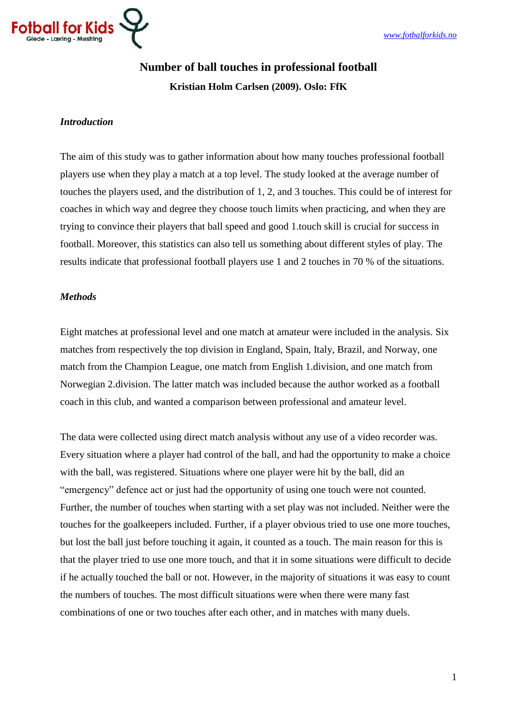

# **Number of ball touches in professional football**

# **Kristian Holm Carlsen (2009). Oslo: FfK**

### *Introduction*

The aim of this study was to gather information about how many touches professional football players use when they play a match at a top level. The study looked at the average number of touches the players used, and the distribution of 1, 2, and 3 touches. This could be of interest for coaches in which way and degree they choose touch limits when practicing, and when they are trying to convince their players that ball speed and good 1.touch skill is crucial for success in football. Moreover, this statistics can also tell us something about different styles of play. The results indicate that professional football players use 1 and 2 touches in 70 % of the situations.

## *Methods*

Eight matches at professional level and one match at amateur were included in the analysis. Six matches from respectively the top division in England, Spain, Italy, Brazil, and Norway, one match from the Champion League, one match from English 1.division, and one match from Norwegian 2.division. The latter match was included because the author worked as a football coach in this club, and wanted a comparison between professional and amateur level.

The data were collected using direct match analysis without any use of a video recorder was. Every situation where a player had control of the ball, and had the opportunity to make a choice with the ball, was registered. Situations where one player were hit by the ball, did an "emergency" defence act or just had the opportunity of using one touch were not counted. Further, the number of touches when starting with a set play was not included. Neither were the touches for the goalkeepers included. Further, if a player obvious tried to use one more touches, but lost the ball just before touching it again, it counted as a touch. The main reason for this is that the player tried to use one more touch, and that it in some situations were difficult to decide if he actually touched the ball or not. However, in the majority of situations it was easy to count the numbers of touches. The most difficult situations were when there were many fast combinations of one or two touches after each other, and in matches with many duels.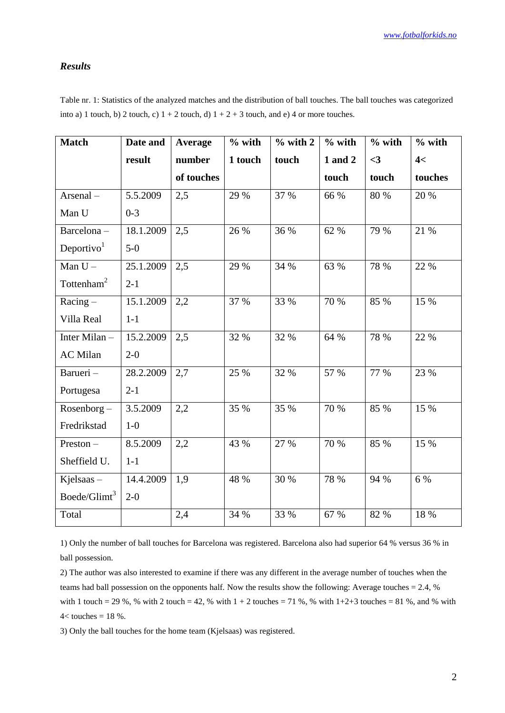#### *Results*

Table nr. 1: Statistics of the analyzed matches and the distribution of ball touches. The ball touches was categorized into a) 1 touch, b) 2 touch, c)  $1 + 2$  touch, d)  $1 + 2 + 3$  touch, and e) 4 or more touches.

| <b>Match</b>             | Date and  | Average    | $%$ with | $%$ with 2 | $%$ with | $%$ with | $%$ with |
|--------------------------|-----------|------------|----------|------------|----------|----------|----------|
|                          | result    | number     | 1 touch  | touch      | 1 and 2  | $\leq$ 3 | 4<       |
|                          |           | of touches |          |            | touch    | touch    | touches  |
| Arsenal-                 | 5.5.2009  | 2,5        | 29 %     | 37 %       | 66 %     | 80 %     | 20 %     |
| Man U                    | $0 - 3$   |            |          |            |          |          |          |
| Barcelona-               | 18.1.2009 | 2,5        | 26 %     | 36 %       | 62 %     | 79 %     | 21 %     |
| Deportivo <sup>1</sup>   | $5-0$     |            |          |            |          |          |          |
| Man $U -$                | 25.1.2009 | 2,5        | 29 %     | 34 %       | 63 %     | 78 %     | 22 %     |
| Tottenham $2$            | $2-1$     |            |          |            |          |          |          |
| $Racing -$               | 15.1.2009 | 2,2        | 37 %     | 33 %       | 70 %     | 85 %     | 15 %     |
| Villa Real               | $1-1$     |            |          |            |          |          |          |
| Inter Milan-             | 15.2.2009 | 2,5        | 32 %     | 32 %       | 64 %     | 78 %     | 22 %     |
| <b>AC</b> Milan          | $2 - 0$   |            |          |            |          |          |          |
| Barueri-                 | 28.2.2009 | 2,7        | 25 %     | 32 %       | 57 %     | 77 %     | 23 %     |
| Portugesa                | $2-1$     |            |          |            |          |          |          |
| Rosenborg-               | 3.5.2009  | 2,2        | 35 %     | 35 %       | 70 %     | 85 %     | 15 %     |
| Fredrikstad              | $1-0$     |            |          |            |          |          |          |
| Preston-                 | 8.5.2009  | 2,2        | 43 %     | 27 %       | 70 %     | 85 %     | 15 %     |
| Sheffield U.             | $1-1$     |            |          |            |          |          |          |
| Kjelsaas-                | 14.4.2009 | 1,9        | 48 %     | 30 %       | 78 %     | 94 %     | 6 %      |
| Boede/Glimt <sup>3</sup> | $2 - 0$   |            |          |            |          |          |          |
| Total                    |           | 2,4        | 34 %     | 33 %       | 67 %     | 82 %     | 18 %     |

1) Only the number of ball touches for Barcelona was registered. Barcelona also had superior 64 % versus 36 % in ball possession.

2) The author was also interested to examine if there was any different in the average number of touches when the teams had ball possession on the opponents half. Now the results show the following: Average touches = 2.4, % with 1 touch = 29 %, % with 2 touch = 42, % with  $1 + 2$  touches = 71 %, % with  $1+2+3$  touches = 81 %, and % with  $4$  < touches = 18 %.

3) Only the ball touches for the home team (Kjelsaas) was registered.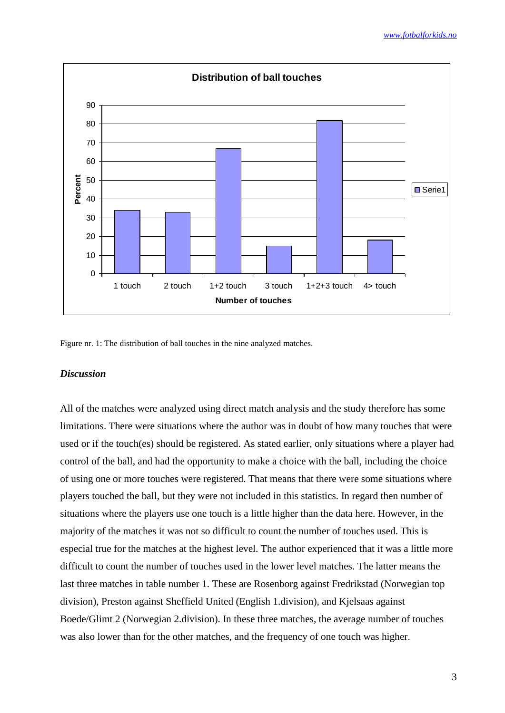

Figure nr. 1: The distribution of ball touches in the nine analyzed matches.

#### *Discussion*

All of the matches were analyzed using direct match analysis and the study therefore has some limitations. There were situations where the author was in doubt of how many touches that were used or if the touch(es) should be registered. As stated earlier, only situations where a player had control of the ball, and had the opportunity to make a choice with the ball, including the choice of using one or more touches were registered. That means that there were some situations where players touched the ball, but they were not included in this statistics. In regard then number of situations where the players use one touch is a little higher than the data here. However, in the majority of the matches it was not so difficult to count the number of touches used. This is especial true for the matches at the highest level. The author experienced that it was a little more difficult to count the number of touches used in the lower level matches. The latter means the last three matches in table number 1. These are Rosenborg against Fredrikstad (Norwegian top division), Preston against Sheffield United (English 1.division), and Kjelsaas against Boede/Glimt 2 (Norwegian 2.division). In these three matches, the average number of touches was also lower than for the other matches, and the frequency of one touch was higher.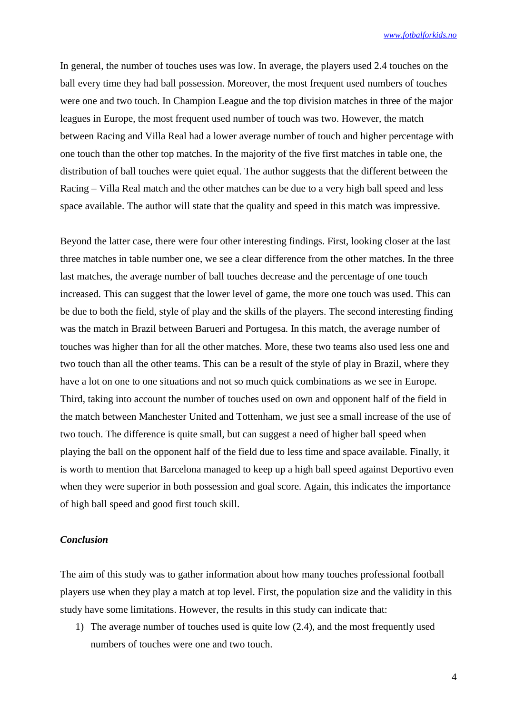In general, the number of touches uses was low. In average, the players used 2.4 touches on the ball every time they had ball possession. Moreover, the most frequent used numbers of touches were one and two touch. In Champion League and the top division matches in three of the major leagues in Europe, the most frequent used number of touch was two. However, the match between Racing and Villa Real had a lower average number of touch and higher percentage with one touch than the other top matches. In the majority of the five first matches in table one, the distribution of ball touches were quiet equal. The author suggests that the different between the Racing – Villa Real match and the other matches can be due to a very high ball speed and less space available. The author will state that the quality and speed in this match was impressive.

Beyond the latter case, there were four other interesting findings. First, looking closer at the last three matches in table number one, we see a clear difference from the other matches. In the three last matches, the average number of ball touches decrease and the percentage of one touch increased. This can suggest that the lower level of game, the more one touch was used. This can be due to both the field, style of play and the skills of the players. The second interesting finding was the match in Brazil between Barueri and Portugesa. In this match, the average number of touches was higher than for all the other matches. More, these two teams also used less one and two touch than all the other teams. This can be a result of the style of play in Brazil, where they have a lot on one to one situations and not so much quick combinations as we see in Europe. Third, taking into account the number of touches used on own and opponent half of the field in the match between Manchester United and Tottenham, we just see a small increase of the use of two touch. The difference is quite small, but can suggest a need of higher ball speed when playing the ball on the opponent half of the field due to less time and space available. Finally, it is worth to mention that Barcelona managed to keep up a high ball speed against Deportivo even when they were superior in both possession and goal score. Again, this indicates the importance of high ball speed and good first touch skill.

#### *Conclusion*

The aim of this study was to gather information about how many touches professional football players use when they play a match at top level. First, the population size and the validity in this study have some limitations. However, the results in this study can indicate that:

1) The average number of touches used is quite low (2.4), and the most frequently used numbers of touches were one and two touch.